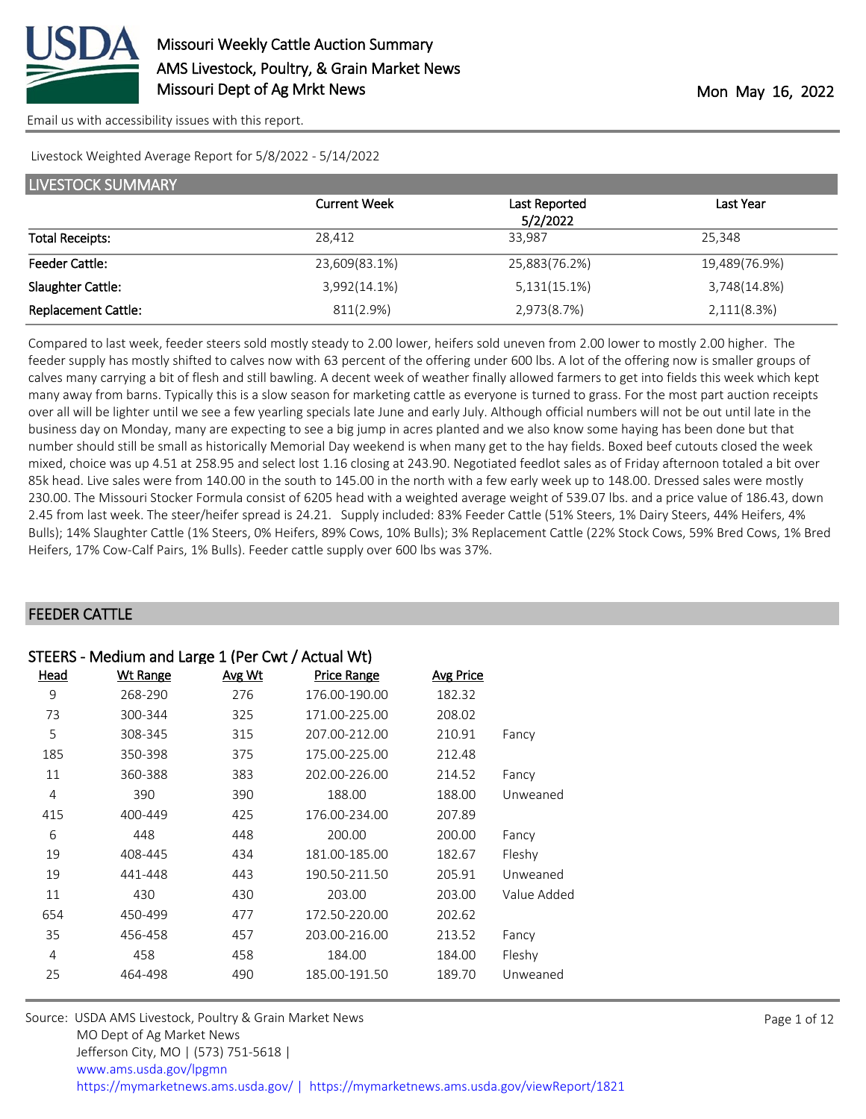

Livestock Weighted Average Report for 5/8/2022 - 5/14/2022

| <b>LIVESTOCK SUMMARY</b>   |                     |               |               |  |
|----------------------------|---------------------|---------------|---------------|--|
|                            | <b>Current Week</b> | Last Reported | Last Year     |  |
|                            |                     | 5/2/2022      |               |  |
| <b>Total Receipts:</b>     | 28,412              | 33,987        | 25,348        |  |
| <b>Feeder Cattle:</b>      | 23,609(83.1%)       | 25,883(76.2%) | 19,489(76.9%) |  |
| Slaughter Cattle:          | 3,992(14.1%)        | 5,131(15.1%)  | 3,748(14.8%)  |  |
| <b>Replacement Cattle:</b> | 811(2.9%)           | 2,973(8.7%)   | 2,111(8.3%)   |  |

Compared to last week, feeder steers sold mostly steady to 2.00 lower, heifers sold uneven from 2.00 lower to mostly 2.00 higher. The feeder supply has mostly shifted to calves now with 63 percent of the offering under 600 lbs. A lot of the offering now is smaller groups of calves many carrying a bit of flesh and still bawling. A decent week of weather finally allowed farmers to get into fields this week which kept many away from barns. Typically this is a slow season for marketing cattle as everyone is turned to grass. For the most part auction receipts over all will be lighter until we see a few yearling specials late June and early July. Although official numbers will not be out until late in the business day on Monday, many are expecting to see a big jump in acres planted and we also know some haying has been done but that number should still be small as historically Memorial Day weekend is when many get to the hay fields. Boxed beef cutouts closed the week mixed, choice was up 4.51 at 258.95 and select lost 1.16 closing at 243.90. Negotiated feedlot sales as of Friday afternoon totaled a bit over 85k head. Live sales were from 140.00 in the south to 145.00 in the north with a few early week up to 148.00. Dressed sales were mostly 230.00. The Missouri Stocker Formula consist of 6205 head with a weighted average weight of 539.07 lbs. and a price value of 186.43, down 2.45 from last week. The steer/heifer spread is 24.21. Supply included: 83% Feeder Cattle (51% Steers, 1% Dairy Steers, 44% Heifers, 4% Bulls); 14% Slaughter Cattle (1% Steers, 0% Heifers, 89% Cows, 10% Bulls); 3% Replacement Cattle (22% Stock Cows, 59% Bred Cows, 1% Bred Heifers, 17% Cow-Calf Pairs, 1% Bulls). Feeder cattle supply over 600 lbs was 37%.

#### FEEDER CATTLE

| STEERS - Medium and Large 1 (Per Cwt / Actual Wt) |                 |        |                    |                  |             |
|---------------------------------------------------|-----------------|--------|--------------------|------------------|-------------|
| Head                                              | <b>Wt Range</b> | Avg Wt | <b>Price Range</b> | <b>Avg Price</b> |             |
| 9                                                 | 268-290         | 276    | 176.00-190.00      | 182.32           |             |
| 73                                                | 300-344         | 325    | 171.00-225.00      | 208.02           |             |
| 5                                                 | 308-345         | 315    | 207.00-212.00      | 210.91           | Fancy       |
| 185                                               | 350-398         | 375    | 175.00-225.00      | 212.48           |             |
| 11                                                | 360-388         | 383    | 202.00-226.00      | 214.52           | Fancy       |
| 4                                                 | 390             | 390    | 188.00             | 188.00           | Unweaned    |
| 415                                               | 400-449         | 425    | 176.00-234.00      | 207.89           |             |
| 6                                                 | 448             | 448    | 200.00             | 200.00           | Fancy       |
| 19                                                | 408-445         | 434    | 181.00-185.00      | 182.67           | Fleshy      |
| 19                                                | 441-448         | 443    | 190.50-211.50      | 205.91           | Unweaned    |
| 11                                                | 430             | 430    | 203.00             | 203.00           | Value Added |
| 654                                               | 450-499         | 477    | 172.50-220.00      | 202.62           |             |
| 35                                                | 456-458         | 457    | 203.00-216.00      | 213.52           | Fancy       |
| 4                                                 | 458             | 458    | 184.00             | 184.00           | Fleshy      |
| 25                                                | 464-498         | 490    | 185.00-191.50      | 189.70           | Unweaned    |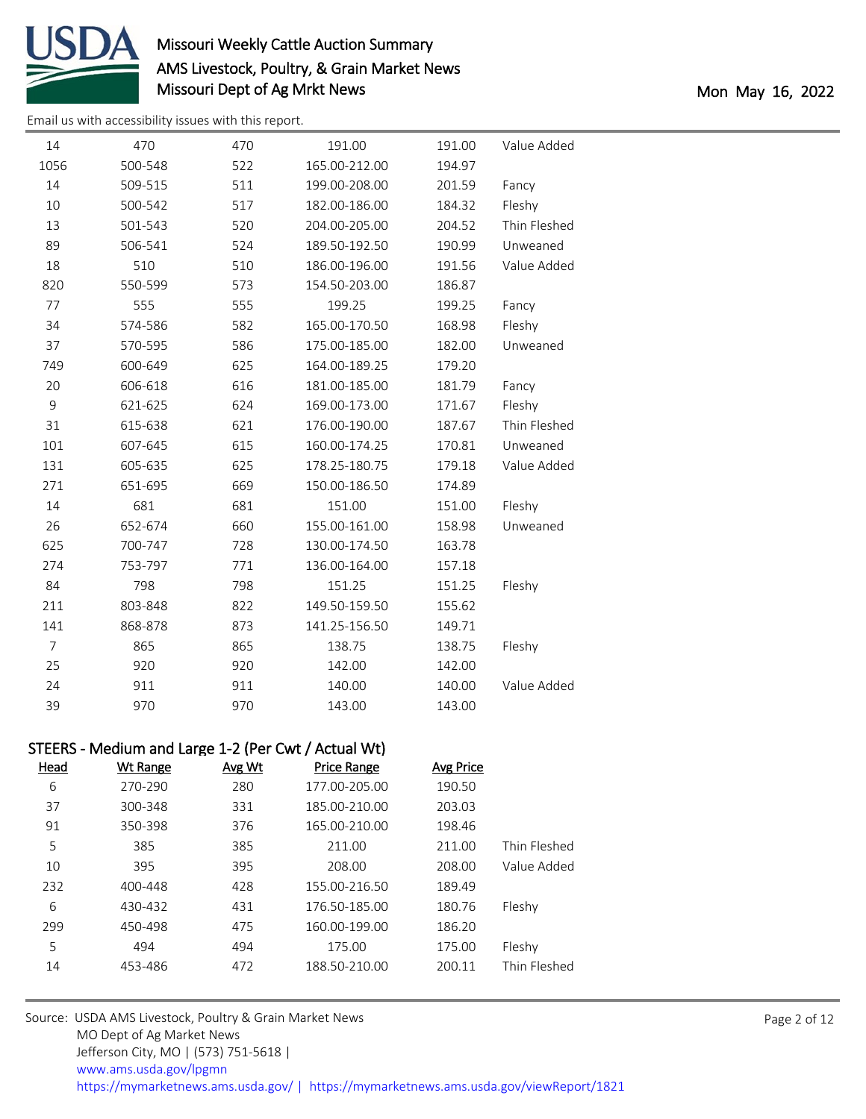

[Email us with accessibility issues with this report.](mailto:mars@ams.usda.gov?subject=508%20issue)

| 14             | 470                                                 | 470           | 191.00             | 191.00           | Value Added  |
|----------------|-----------------------------------------------------|---------------|--------------------|------------------|--------------|
| 1056           | 500-548                                             | 522           | 165.00-212.00      | 194.97           |              |
| 14             | 509-515                                             | 511           | 199.00-208.00      | 201.59           | Fancy        |
| $10$           | 500-542                                             | 517           | 182.00-186.00      | 184.32           | Fleshy       |
| 13             | 501-543                                             | 520           | 204.00-205.00      | 204.52           | Thin Fleshed |
| 89             | 506-541                                             | 524           | 189.50-192.50      | 190.99           | Unweaned     |
| 18             | 510                                                 | 510           | 186.00-196.00      | 191.56           | Value Added  |
| 820            | 550-599                                             | 573           | 154.50-203.00      | 186.87           |              |
| 77             | 555                                                 | 555           | 199.25             | 199.25           | Fancy        |
| 34             | 574-586                                             | 582           | 165.00-170.50      | 168.98           | Fleshy       |
| 37             | 570-595                                             | 586           | 175.00-185.00      | 182.00           | Unweaned     |
| 749            | 600-649                                             | 625           | 164.00-189.25      | 179.20           |              |
| 20             | 606-618                                             | 616           | 181.00-185.00      | 181.79           | Fancy        |
| $\mathsf 9$    | 621-625                                             | 624           | 169.00-173.00      | 171.67           | Fleshy       |
| 31             | 615-638                                             | 621           | 176.00-190.00      | 187.67           | Thin Fleshed |
| 101            | 607-645                                             | 615           | 160.00-174.25      | 170.81           | Unweaned     |
| 131            | 605-635                                             | 625           | 178.25-180.75      | 179.18           | Value Added  |
| 271            | 651-695                                             | 669           | 150.00-186.50      | 174.89           |              |
| 14             | 681                                                 | 681           | 151.00             | 151.00           | Fleshy       |
| 26             | 652-674                                             | 660           | 155.00-161.00      | 158.98           | Unweaned     |
| 625            | 700-747                                             | 728           | 130.00-174.50      | 163.78           |              |
| 274            | 753-797                                             | 771           | 136.00-164.00      | 157.18           |              |
| 84             | 798                                                 | 798           | 151.25             | 151.25           | Fleshy       |
| 211            | 803-848                                             | 822           | 149.50-159.50      | 155.62           |              |
| 141            | 868-878                                             | 873           | 141.25-156.50      | 149.71           |              |
| $\overline{7}$ | 865                                                 | 865           | 138.75             | 138.75           | Fleshy       |
| 25             | 920                                                 | 920           | 142.00             | 142.00           |              |
| 24             | 911                                                 | 911           | 140.00             | 140.00           | Value Added  |
| 39             | 970                                                 | 970           | 143.00             | 143.00           |              |
|                |                                                     |               |                    |                  |              |
|                | STEERS - Medium and Large 1-2 (Per Cwt / Actual Wt) |               |                    |                  |              |
| <b>Head</b>    | <b>Wt Range</b>                                     | <b>Avg Wt</b> | <b>Price Range</b> | <b>Avg Price</b> |              |
| 6              | 270-290                                             | 280           | 177.00-205.00      | 190.50           |              |
| 37             | 300-348                                             | 331           | 185.00-210.00      | 203.03           |              |
| 91             | 350-398                                             | 376           | 165.00-210.00      | 198.46           |              |
| 5              | 385                                                 | 385           | 211.00             | 211.00           | Thin Fleshed |
| 10             | 395                                                 | 395           | 208.00             | 208.00           | Value Added  |
| 232            | 400-448                                             | 428           | 155.00-216.50      | 189.49           |              |
| 6              | 430-432                                             | 431           | 176.50-185.00      | 180.76           | Fleshy       |
| 299            | 450-498                                             | 475           | 160.00-199.00      | 186.20           |              |
| 5              | 494                                                 | 494           | 175.00             | 175.00           | Fleshy       |
| 14             | 453-486                                             | 472           | 188.50-210.00      | 200.11           | Thin Fleshed |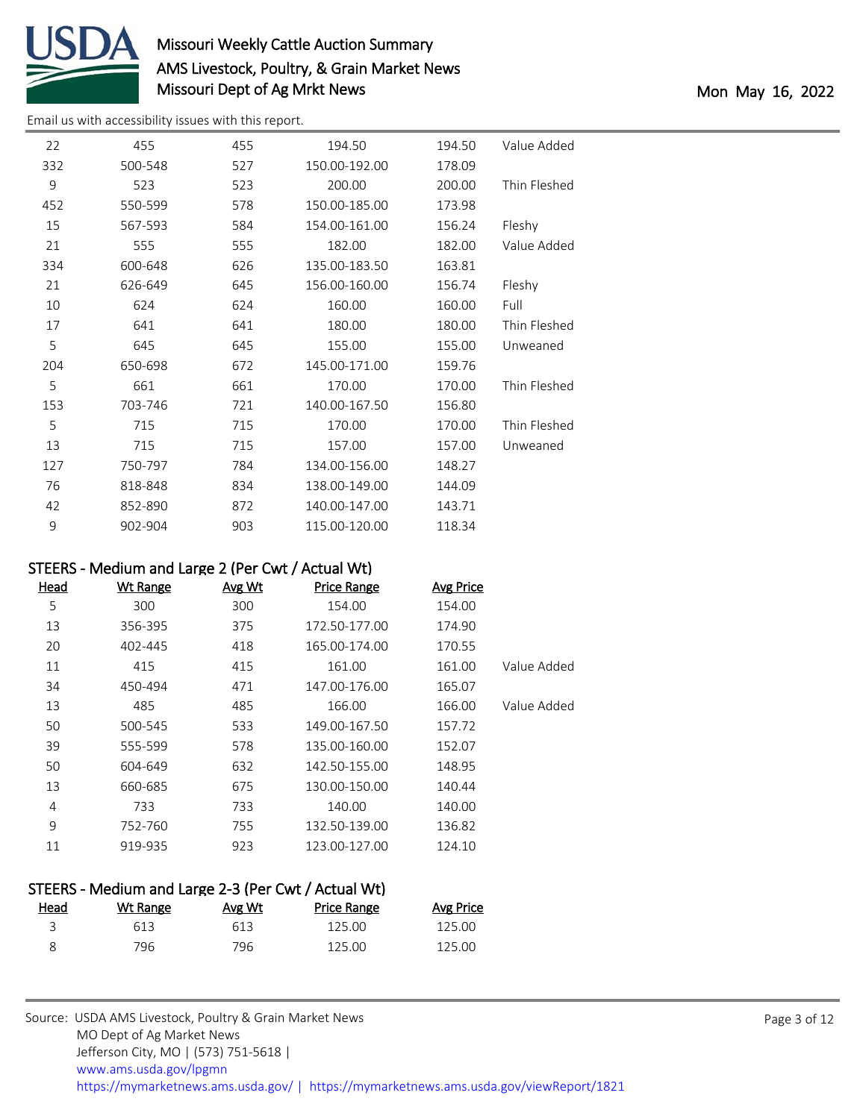

[Email us with accessibility issues with this report.](mailto:mars@ams.usda.gov?subject=508%20issue)

| 22  | 455     | 455 | 194.50        | 194.50 | Value Added  |
|-----|---------|-----|---------------|--------|--------------|
| 332 | 500-548 | 527 | 150.00-192.00 | 178.09 |              |
| 9   | 523     | 523 | 200.00        | 200.00 | Thin Fleshed |
| 452 | 550-599 | 578 | 150.00-185.00 | 173.98 |              |
| 15  | 567-593 | 584 | 154.00-161.00 | 156.24 | Fleshy       |
| 21  | 555     | 555 | 182.00        | 182.00 | Value Added  |
| 334 | 600-648 | 626 | 135.00-183.50 | 163.81 |              |
| 21  | 626-649 | 645 | 156.00-160.00 | 156.74 | Fleshy       |
| 10  | 624     | 624 | 160.00        | 160.00 | Full         |
| 17  | 641     | 641 | 180.00        | 180.00 | Thin Fleshed |
| 5   | 645     | 645 | 155.00        | 155.00 | Unweaned     |
| 204 | 650-698 | 672 | 145.00-171.00 | 159.76 |              |
| 5   | 661     | 661 | 170.00        | 170.00 | Thin Fleshed |
| 153 | 703-746 | 721 | 140.00-167.50 | 156.80 |              |
| 5   | 715     | 715 | 170.00        | 170.00 | Thin Fleshed |
| 13  | 715     | 715 | 157.00        | 157.00 | Unweaned     |
| 127 | 750-797 | 784 | 134.00-156.00 | 148.27 |              |
| 76  | 818-848 | 834 | 138.00-149.00 | 144.09 |              |
| 42  | 852-890 | 872 | 140.00-147.00 | 143.71 |              |
| 9   | 902-904 | 903 | 115.00-120.00 | 118.34 |              |

#### STEERS - Medium and Large 2 (Per Cwt / Actual Wt)

| <u>Head</u> | <b>Wt Range</b> | Avg Wt | <b>Price Range</b> | <b>Avg Price</b> |             |
|-------------|-----------------|--------|--------------------|------------------|-------------|
| 5           | 300             | 300    | 154.00             | 154.00           |             |
| 13          | 356-395         | 375    | 172.50-177.00      | 174.90           |             |
| 20          | 402-445         | 418    | 165.00-174.00      | 170.55           |             |
| 11          | 415             | 415    | 161.00             | 161.00           | Value Added |
| 34          | 450-494         | 471    | 147.00-176.00      | 165.07           |             |
| 13          | 485             | 485    | 166.00             | 166.00           | Value Added |
| 50          | 500-545         | 533    | 149.00-167.50      | 157.72           |             |
| 39          | 555-599         | 578    | 135.00-160.00      | 152.07           |             |
| 50          | 604-649         | 632    | 142.50-155.00      | 148.95           |             |
| 13          | 660-685         | 675    | 130.00-150.00      | 140.44           |             |
| 4           | 733             | 733    | 140.00             | 140.00           |             |
| 9           | 752-760         | 755    | 132.50-139.00      | 136.82           |             |
| 11          | 919-935         | 923    | 123.00-127.00      | 124.10           |             |
|             |                 |        |                    |                  |             |

| Wt Range | Avg Wt | <b>Price Range</b> | <b>Avg Price</b>                                    |
|----------|--------|--------------------|-----------------------------------------------------|
| 613      | 613    | 125.00             | 125.00                                              |
| 796      | 796.   | 125.00             | 125.00                                              |
|          |        |                    | STEERS - Medium and Large 2-3 (Per Cwt / Actual Wt) |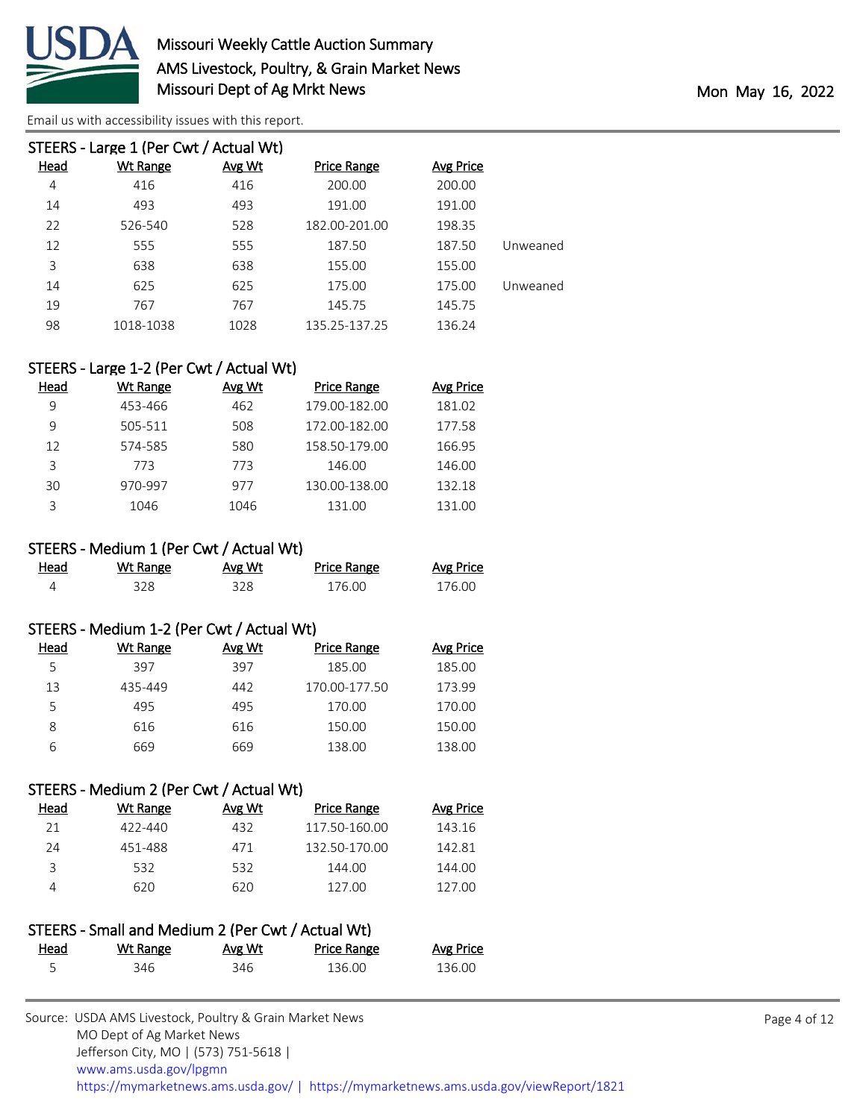

| STEERS - Large 1 (Per Cwt / Actual Wt) |        |                    |           |          |  |  |
|----------------------------------------|--------|--------------------|-----------|----------|--|--|
| Wt Range                               | Avg Wt | <b>Price Range</b> | Avg Price |          |  |  |
| 416                                    | 416    | 200.00             | 200.00    |          |  |  |
| 493                                    | 493    | 191.00             | 191.00    |          |  |  |
| 526-540                                | 528    | 182.00-201.00      | 198.35    |          |  |  |
| 555                                    | 555    | 187.50             | 187.50    | Unweaned |  |  |
| 638                                    | 638    | 155.00             | 155.00    |          |  |  |
| 625                                    | 625    | 175.00             | 175.00    | Unweaned |  |  |
| 767                                    | 767    | 145.75             | 145.75    |          |  |  |
| 1018-1038                              | 1028   | 135.25-137.25      | 136.24    |          |  |  |
|                                        |        |                    |           |          |  |  |

#### STEERS - Large 1-2 (Per Cwt / Actual Wt)

| Head | Wt Range | Avg Wt | <b>Price Range</b> | <b>Avg Price</b> |
|------|----------|--------|--------------------|------------------|
| 9    | 453-466  | 462    | 179.00-182.00      | 181.02           |
| 9    | 505-511  | 508    | 172.00-182.00      | 177.58           |
| 12   | 574-585  | 580    | 158.50-179.00      | 166.95           |
| 3    | 773      | 773    | 146.00             | 146.00           |
| 30   | 970-997  | 977    | 130.00-138.00      | 132.18           |
| ς    | 1046     | 1046   | 131.00             | 131.00           |

#### STEERS - Medium 1 (Per Cwt / Actual Wt)

| Head | Wt Range | Avg Wt | <b>Price Range</b> | <b>Avg Price</b> |
|------|----------|--------|--------------------|------------------|
|      | 328.     | 328    | 176.00             | 176.00           |

#### STEERS - Medium 1-2 (Per Cwt / Actual Wt)

| Head | Wt Range | Avg Wt | Price Range   | Avg Price |
|------|----------|--------|---------------|-----------|
| 5    | 397      | 397    | 185.00        | 185.00    |
| 13   | 435-449  | 442    | 170.00-177.50 | 173.99    |
| 5    | 495      | 495    | 170.00        | 170.00    |
| 8    | 616      | 616    | 150.00        | 150.00    |
| 6    | 669      | 669    | 138.00        | 138.00    |

#### STEERS - Medium 2 (Per Cwt / Actual Wt)

| Head | Wt Range | Avg Wt | Price Range   | Avg Price |
|------|----------|--------|---------------|-----------|
| 21   | 422-440  | 432    | 117.50-160.00 | 143.16    |
| 24   | 451-488  | 471    | 132.50-170.00 | 142.81    |
|      | 532      | 532    | 144.00        | 144.00    |
|      | 620      | 620    | 127.00        | 127.00    |

|      | STEERS - Small and Medium 2 (Per Cwt / Actual Wt) |        |             |           |
|------|---------------------------------------------------|--------|-------------|-----------|
| Head | Wt Range                                          | Avg Wt | Price Range | Avg Price |
| 5    | 346                                               | 346    | 136.00      | 136.00    |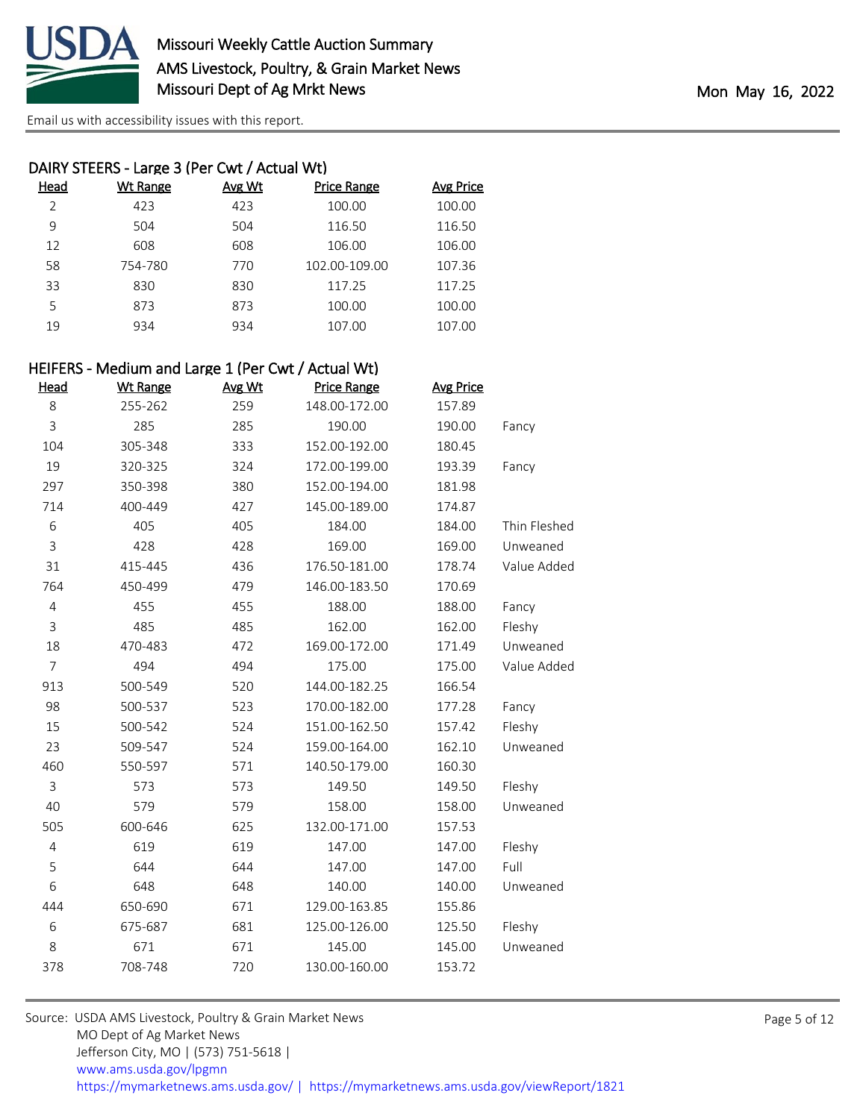

| DAIRY STEERS - Large 3 (Per Cwt / Actual Wt) |          |        |                    |                  |
|----------------------------------------------|----------|--------|--------------------|------------------|
| Head                                         | Wt Range | Avg Wt | <b>Price Range</b> | <b>Avg Price</b> |
| $\mathcal{P}$                                | 423      | 423    | 100.00             | 100.00           |
| 9                                            | 504      | 504    | 116.50             | 116.50           |
| 12                                           | 608      | 608    | 106.00             | 106.00           |
| 58                                           | 754-780  | 770    | 102.00-109.00      | 107.36           |
| 33                                           | 830      | 830    | 117.25             | 117.25           |
| 5                                            | 873      | 873    | 100.00             | 100.00           |
| 19                                           | 934      | 934    | 107.00             | 107.00           |
|                                              |          |        |                    |                  |

#### HEIFERS - Medium and Large 1 (Per Cwt / Actual Wt)

| Head           | <b>Wt Range</b> | Avg Wt | <b>Price Range</b> | <b>Avg Price</b> |              |
|----------------|-----------------|--------|--------------------|------------------|--------------|
| 8              | 255-262         | 259    | 148.00-172.00      | 157.89           |              |
| 3              | 285             | 285    | 190.00             | 190.00           | Fancy        |
| 104            | 305-348         | 333    | 152.00-192.00      | 180.45           |              |
| 19             | 320-325         | 324    | 172.00-199.00      | 193.39           | Fancy        |
| 297            | 350-398         | 380    | 152.00-194.00      | 181.98           |              |
| 714            | 400-449         | 427    | 145.00-189.00      | 174.87           |              |
| 6              | 405             | 405    | 184.00             | 184.00           | Thin Fleshed |
| 3              | 428             | 428    | 169.00             | 169.00           | Unweaned     |
| 31             | 415-445         | 436    | 176.50-181.00      | 178.74           | Value Added  |
| 764            | 450-499         | 479    | 146.00-183.50      | 170.69           |              |
| 4              | 455             | 455    | 188.00             | 188.00           | Fancy        |
| 3              | 485             | 485    | 162.00             | 162.00           | Fleshy       |
| 18             | 470-483         | 472    | 169.00-172.00      | 171.49           | Unweaned     |
| $\overline{7}$ | 494             | 494    | 175.00             | 175.00           | Value Added  |
| 913            | 500-549         | 520    | 144.00-182.25      | 166.54           |              |
| 98             | 500-537         | 523    | 170.00-182.00      | 177.28           | Fancy        |
| 15             | 500-542         | 524    | 151.00-162.50      | 157.42           | Fleshy       |
| 23             | 509-547         | 524    | 159.00-164.00      | 162.10           | Unweaned     |
| 460            | 550-597         | 571    | 140.50-179.00      | 160.30           |              |
| $\mathsf{3}$   | 573             | 573    | 149.50             | 149.50           | Fleshy       |
| 40             | 579             | 579    | 158.00             | 158.00           | Unweaned     |
| 505            | 600-646         | 625    | 132.00-171.00      | 157.53           |              |
| 4              | 619             | 619    | 147.00             | 147.00           | Fleshy       |
| 5              | 644             | 644    | 147.00             | 147.00           | Full         |
| 6              | 648             | 648    | 140.00             | 140.00           | Unweaned     |
| 444            | 650-690         | 671    | 129.00-163.85      | 155.86           |              |
| 6              | 675-687         | 681    | 125.00-126.00      | 125.50           | Fleshy       |
| 8              | 671             | 671    | 145.00             | 145.00           | Unweaned     |
| 378            | 708-748         | 720    | 130.00-160.00      | 153.72           |              |
|                |                 |        |                    |                  |              |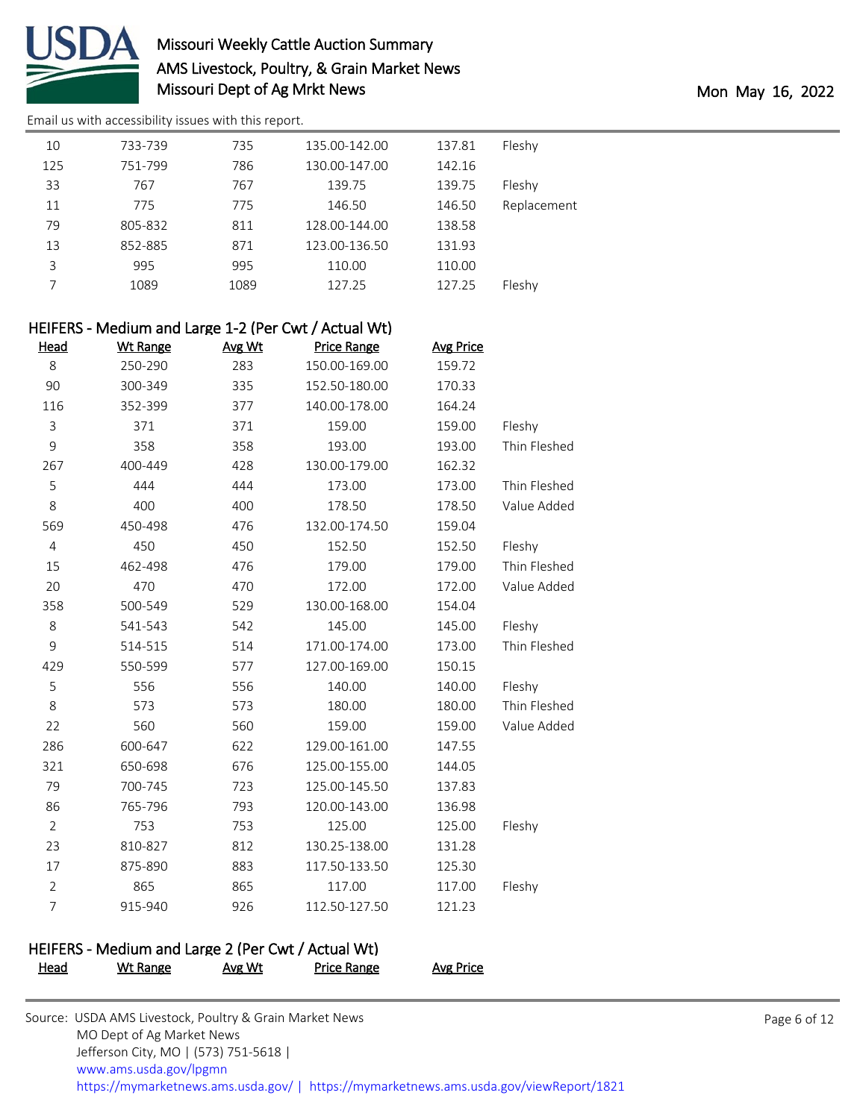

[Email us with accessibility issues with this report.](mailto:mars@ams.usda.gov?subject=508%20issue)

| 10  | 733-739 | 735  | 135.00-142.00 | 137.81 | Fleshy      |
|-----|---------|------|---------------|--------|-------------|
| 125 | 751-799 | 786  | 130.00-147.00 | 142.16 |             |
| 33  | 767     | 767  | 139.75        | 139.75 | Fleshy      |
| 11  | 775     | 775  | 146.50        | 146.50 | Replacement |
| 79  | 805-832 | 811  | 128.00-144.00 | 138.58 |             |
| 13  | 852-885 | 871  | 123.00-136.50 | 131.93 |             |
| 3   | 995     | 995  | 110.00        | 110.00 |             |
|     | 1089    | 1089 | 127.25        | 127.25 | Fleshy      |

| HEIFERS - Medium and Large 1-2 (Per Cwt / Actual Wt) |                 |        |                    |                  |              |
|------------------------------------------------------|-----------------|--------|--------------------|------------------|--------------|
| <b>Head</b>                                          | <b>Wt Range</b> | Avg Wt | <b>Price Range</b> | <b>Avg Price</b> |              |
| 8                                                    | 250-290         | 283    | 150.00-169.00      | 159.72           |              |
| 90                                                   | 300-349         | 335    | 152.50-180.00      | 170.33           |              |
| 116                                                  | 352-399         | 377    | 140.00-178.00      | 164.24           |              |
| 3                                                    | 371             | 371    | 159.00             | 159.00           | Fleshy       |
| 9                                                    | 358             | 358    | 193.00             | 193.00           | Thin Fleshed |
| 267                                                  | 400-449         | 428    | 130.00-179.00      | 162.32           |              |
| 5                                                    | 444             | 444    | 173.00             | 173.00           | Thin Fleshed |
| 8                                                    | 400             | 400    | 178.50             | 178.50           | Value Added  |
| 569                                                  | 450-498         | 476    | 132.00-174.50      | 159.04           |              |
| $\overline{4}$                                       | 450             | 450    | 152.50             | 152.50           | Fleshy       |
| 15                                                   | 462-498         | 476    | 179.00             | 179.00           | Thin Fleshed |
| 20                                                   | 470             | 470    | 172.00             | 172.00           | Value Added  |
| 358                                                  | 500-549         | 529    | 130.00-168.00      | 154.04           |              |
| 8                                                    | 541-543         | 542    | 145.00             | 145.00           | Fleshy       |
| 9                                                    | 514-515         | 514    | 171.00-174.00      | 173.00           | Thin Fleshed |
| 429                                                  | 550-599         | 577    | 127.00-169.00      | 150.15           |              |
| 5                                                    | 556             | 556    | 140.00             | 140.00           | Fleshy       |
| 8                                                    | 573             | 573    | 180.00             | 180.00           | Thin Fleshed |
| 22                                                   | 560             | 560    | 159.00             | 159.00           | Value Added  |
| 286                                                  | 600-647         | 622    | 129.00-161.00      | 147.55           |              |
| 321                                                  | 650-698         | 676    | 125.00-155.00      | 144.05           |              |
| 79                                                   | 700-745         | 723    | 125.00-145.50      | 137.83           |              |
| 86                                                   | 765-796         | 793    | 120.00-143.00      | 136.98           |              |
| $\overline{2}$                                       | 753             | 753    | 125.00             | 125.00           | Fleshy       |
| 23                                                   | 810-827         | 812    | 130.25-138.00      | 131.28           |              |
| 17                                                   | 875-890         | 883    | 117.50-133.50      | 125.30           |              |
| $\overline{2}$                                       | 865             | 865    | 117.00             | 117.00           | Fleshy       |
| $\overline{7}$                                       | 915-940         | 926    | 112.50-127.50      | 121.23           |              |
|                                                      |                 |        |                    |                  |              |

### HEIFERS - Medium and Large 2 (Per Cwt / Actual Wt)

Head Wt Range Avg Wt Price Range Avg Price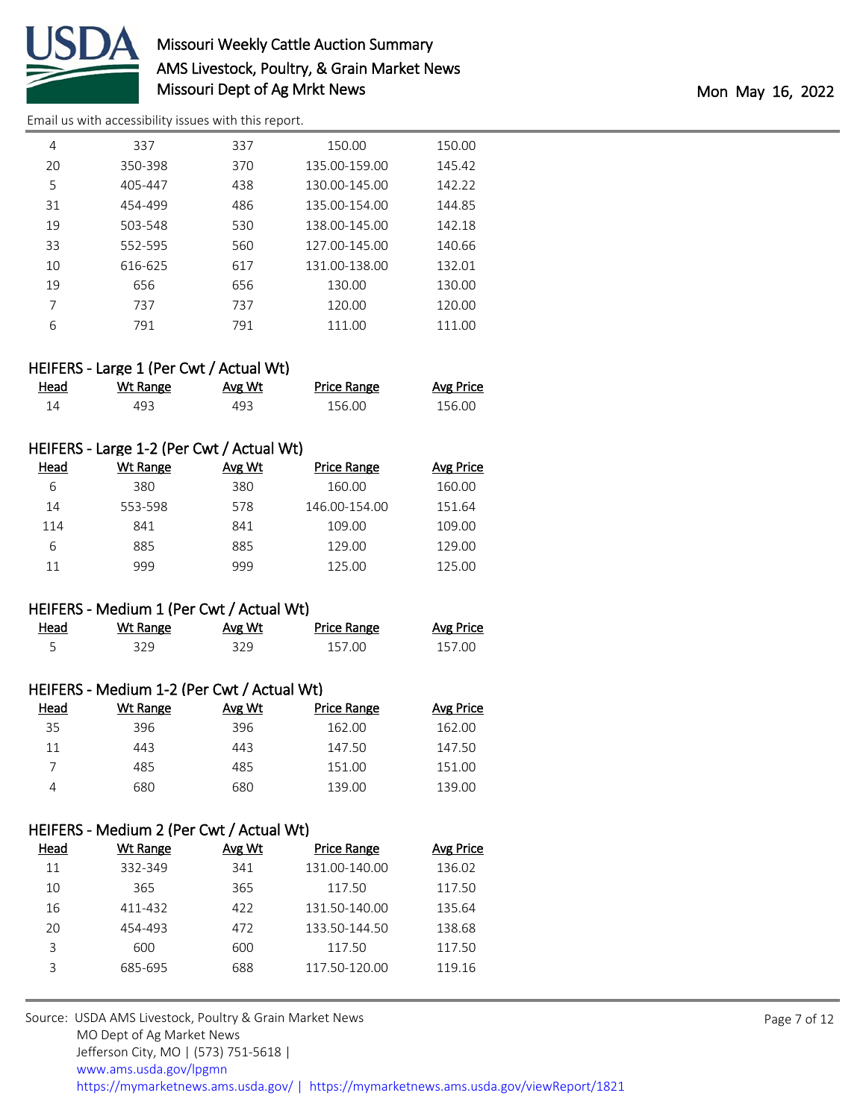

[Email us with accessibility issues with this report.](mailto:mars@ams.usda.gov?subject=508%20issue)

| 4  | 337     | 337 | 150.00        | 150.00 |
|----|---------|-----|---------------|--------|
| 20 | 350-398 | 370 | 135.00-159.00 | 145.42 |
| 5  | 405-447 | 438 | 130.00-145.00 | 142.22 |
| 31 | 454-499 | 486 | 135.00-154.00 | 144.85 |
| 19 | 503-548 | 530 | 138.00-145.00 | 142.18 |
| 33 | 552-595 | 560 | 127.00-145.00 | 140.66 |
| 10 | 616-625 | 617 | 131.00-138.00 | 132.01 |
| 19 | 656     | 656 | 130.00        | 130.00 |
| 7  | 737     | 737 | 120.00        | 120.00 |
| 6  | 791     | 791 | 111.00        | 111.00 |

#### HEIFERS - Large 1 (Per Cwt / Actual Wt)

| <u>Head</u> | Wt Range | Avg Wt | <u>Price Range</u> | Avg Price |
|-------------|----------|--------|--------------------|-----------|
|             | 493      | 493    | 156.00             | 156.00    |

#### HEIFERS - Large 1-2 (Per Cwt / Actual Wt)

| Head | Wt Range | Avg Wt | Price Range   | <b>Avg Price</b> |
|------|----------|--------|---------------|------------------|
| 6    | 380      | 380    | 160.00        | 160.00           |
| 14   | 553-598  | 578    | 146.00-154.00 | 151.64           |
| 114  | 841      | 841    | 109.00        | 109.00           |
| 6    | 885      | 885    | 129.00        | 129.00           |
| 11   | 999      | 999    | 125.00        | 125.00           |

#### HEIFERS - Medium 1 (Per Cwt / Actual Wt)

| Head | Wt Range | Avg Wt | Price Range | Avg Price |
|------|----------|--------|-------------|-----------|
|      | 379      | 329    | 157.00      | 157.00    |

#### HEIFERS - Medium 1-2 (Per Cwt / Actual Wt)

| Head | Wt Range | Avg Wt | Price Range | Avg Price |
|------|----------|--------|-------------|-----------|
| 35   | 396      | 396    | 162.00      | 162.00    |
| 11   | 443      | 443    | 147.50      | 147.50    |
|      | 485      | 485    | 151.00      | 151.00    |
| 4    | 680      | 680    | 139.00      | 139.00    |

#### HEIFERS - Medium 2 (Per Cwt / Actual Wt)

| Head | Wt Range | Avg Wt | <b>Price Range</b> | Avg Price |
|------|----------|--------|--------------------|-----------|
| 11   | 332-349  | 341    | 131.00-140.00      | 136.02    |
| 10   | 365      | 365    | 117.50             | 117.50    |
| 16   | 411-432  | 422    | 131.50-140.00      | 135.64    |
| 20   | 454-493  | 472    | 133.50-144.50      | 138.68    |
| 3    | 600      | 600    | 117.50             | 117.50    |
| ς    | 685-695  | 688    | 117.50-120.00      | 119.16    |
|      |          |        |                    |           |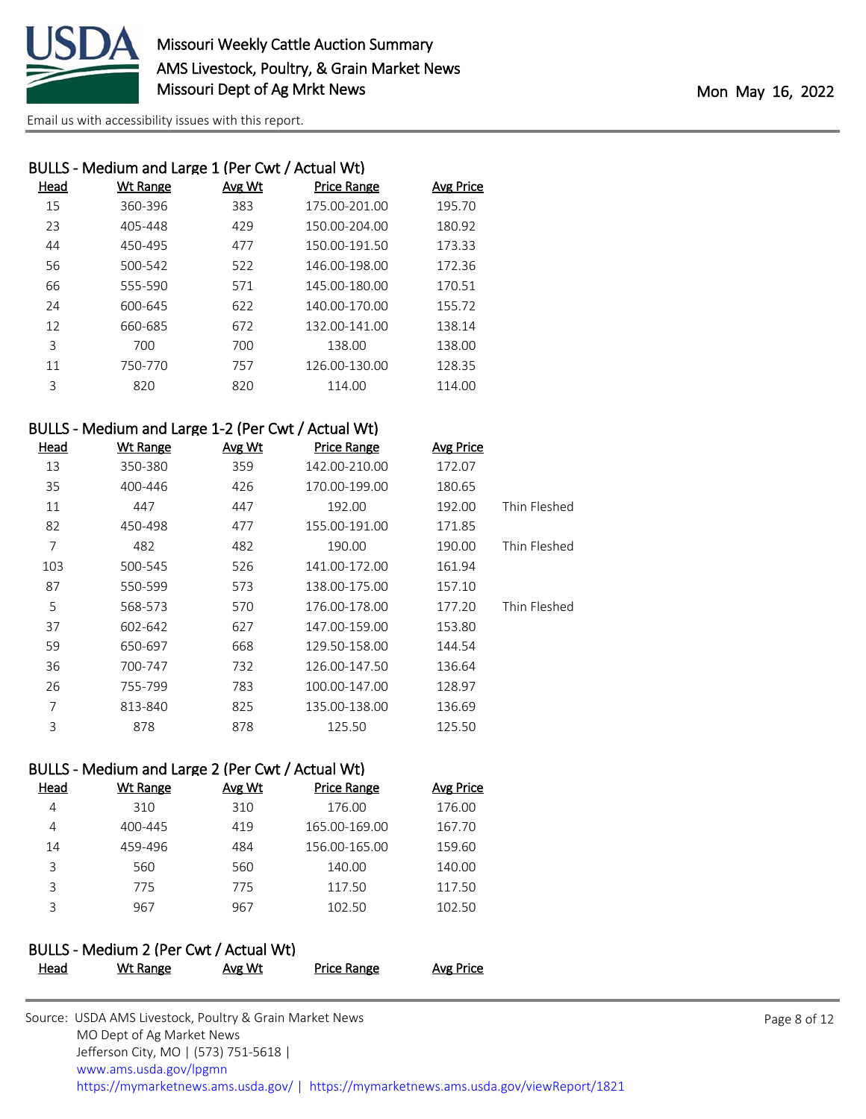

| BULLS - Medium and Large 1 (Per Cwt / Actual Wt) |          |        |                    |                  |  |
|--------------------------------------------------|----------|--------|--------------------|------------------|--|
| Head                                             | Wt Range | Avg Wt | <b>Price Range</b> | <b>Avg Price</b> |  |
| 15                                               | 360-396  | 383    | 175.00-201.00      | 195.70           |  |
| 23                                               | 405-448  | 429    | 150.00-204.00      | 180.92           |  |
| 44                                               | 450-495  | 477    | 150.00-191.50      | 173.33           |  |
| 56                                               | 500-542  | 522    | 146.00-198.00      | 172.36           |  |
| 66                                               | 555-590  | 571    | 145.00-180.00      | 170.51           |  |
| 24                                               | 600-645  | 622    | 140.00-170.00      | 155.72           |  |
| 12                                               | 660-685  | 672    | 132.00-141.00      | 138.14           |  |
| 3                                                | 700      | 700    | 138.00             | 138.00           |  |
| 11                                               | 750-770  | 757    | 126.00-130.00      | 128.35           |  |
| 3                                                | 820      | 820    | 114.00             | 114.00           |  |
|                                                  |          |        |                    |                  |  |

#### BULLS - Medium and Large 1-2 (Per Cwt / Actual Wt)

| <u>Head</u> | <b>Wt Range</b> | Avg Wt | <b>Price Range</b> | <b>Avg Price</b> |              |
|-------------|-----------------|--------|--------------------|------------------|--------------|
| 13          | 350-380         | 359    | 142.00-210.00      | 172.07           |              |
| 35          | 400-446         | 426    | 170.00-199.00      | 180.65           |              |
| 11          | 447             | 447    | 192.00             | 192.00           | Thin Fleshed |
| 82          | 450-498         | 477    | 155.00-191.00      | 171.85           |              |
| 7           | 482             | 482    | 190.00             | 190.00           | Thin Fleshed |
| 103         | 500-545         | 526    | 141.00-172.00      | 161.94           |              |
| 87          | 550-599         | 573    | 138.00-175.00      | 157.10           |              |
| 5           | 568-573         | 570    | 176.00-178.00      | 177.20           | Thin Fleshed |
| 37          | 602-642         | 627    | 147.00-159.00      | 153.80           |              |
| 59          | 650-697         | 668    | 129.50-158.00      | 144.54           |              |
| 36          | 700-747         | 732    | 126.00-147.50      | 136.64           |              |
| 26          | 755-799         | 783    | 100.00-147.00      | 128.97           |              |
| 7           | 813-840         | 825    | 135.00-138.00      | 136.69           |              |
| 3           | 878             | 878    | 125.50             | 125.50           |              |

#### BULLS - Medium and Large 2 (Per Cwt / Actual Wt)

| Head | Wt Range | Avg Wt | <b>Price Range</b> | <b>Avg Price</b> |
|------|----------|--------|--------------------|------------------|
| 4    | 310      | 310    | 176.00             | 176.00           |
| 4    | 400-445  | 419    | 165.00-169.00      | 167.70           |
| 14   | 459-496  | 484    | 156.00-165.00      | 159.60           |
| 3    | 560      | 560    | 140.00             | 140.00           |
| 3    | 775      | 775    | 117.50             | 117.50           |
| ς    | 967      | 967    | 102.50             | 102.50           |
|      |          |        |                    |                  |

#### BULLS - Medium 2 (Per Cwt / Actual Wt)

| Head | Wt Range | Avg Wt | Price Range | <b>Avg Price</b> |
|------|----------|--------|-------------|------------------|
|------|----------|--------|-------------|------------------|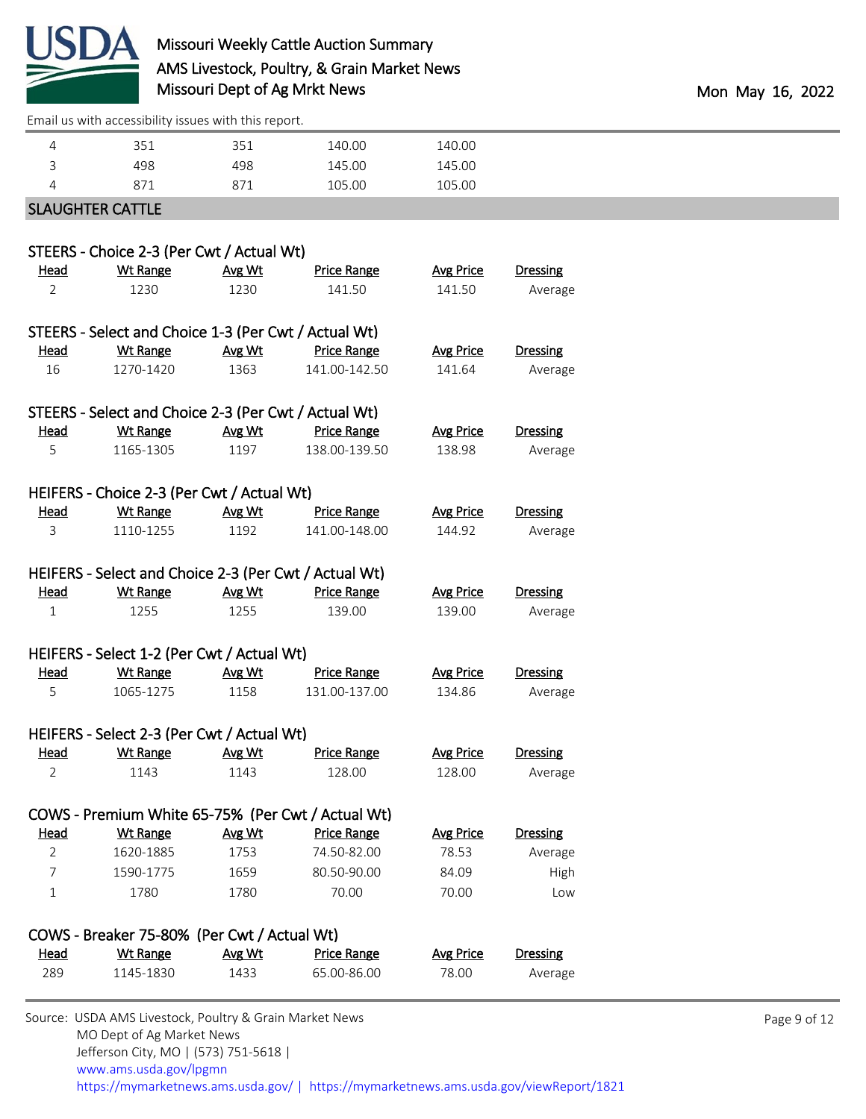

[Email us with accessibility issues with this report.](mailto:mars@ams.usda.gov?subject=508%20issue)

| 871 | 871 | 105.00 | 105.00 |  |
|-----|-----|--------|--------|--|
| 498 | 498 | 145.00 | 145.00 |  |
| 351 | 351 | 140.00 | 140.00 |  |

#### SLAUGHTER CATTLE

|                | STEERS - Choice 2-3 (Per Cwt / Actual Wt)             |        |                                                   |                  |                 |
|----------------|-------------------------------------------------------|--------|---------------------------------------------------|------------------|-----------------|
| <b>Head</b>    | <b>Wt Range</b>                                       | Avg Wt | <b>Price Range</b>                                | <b>Avg Price</b> | <b>Dressing</b> |
| $\overline{2}$ | 1230                                                  | 1230   | 141.50                                            | 141.50           | Average         |
|                |                                                       |        |                                                   |                  |                 |
|                | STEERS - Select and Choice 1-3 (Per Cwt / Actual Wt)  |        |                                                   |                  |                 |
| <b>Head</b>    | <b>Wt Range</b>                                       | Avg Wt | <b>Price Range</b>                                | <b>Avg Price</b> | <b>Dressing</b> |
| 16             | 1270-1420                                             | 1363   | 141.00-142.50                                     | 141.64           | Average         |
|                |                                                       |        |                                                   |                  |                 |
|                | STEERS - Select and Choice 2-3 (Per Cwt / Actual Wt)  |        |                                                   |                  |                 |
| <u>Head</u>    | <b>Wt Range</b>                                       | Avg Wt | <b>Price Range</b>                                | <b>Avg Price</b> | <b>Dressing</b> |
| 5              | 1165-1305                                             | 1197   | 138.00-139.50                                     | 138.98           | Average         |
|                |                                                       |        |                                                   |                  |                 |
|                | HEIFERS - Choice 2-3 (Per Cwt / Actual Wt)            |        |                                                   |                  |                 |
| Head           | <b>Wt Range</b>                                       | Avg Wt | <b>Price Range</b>                                | <b>Avg Price</b> | <b>Dressing</b> |
| 3              | 1110-1255                                             | 1192   | 141.00-148.00                                     | 144.92           | Average         |
|                |                                                       |        |                                                   |                  |                 |
|                | HEIFERS - Select and Choice 2-3 (Per Cwt / Actual Wt) |        |                                                   |                  |                 |
| <u>Head</u>    | <b>Wt Range</b>                                       | Avg Wt | <b>Price Range</b>                                | <b>Avg Price</b> | <b>Dressing</b> |
| 1              | 1255                                                  | 1255   | 139.00                                            | 139.00           | Average         |
|                |                                                       |        |                                                   |                  |                 |
|                | HEIFERS - Select 1-2 (Per Cwt / Actual Wt)            |        |                                                   |                  |                 |
| <u>Head</u>    | Wt Range                                              | Avg Wt | <b>Price Range</b>                                | <b>Avg Price</b> | <b>Dressing</b> |
| 5              | 1065-1275                                             | 1158   | 131.00-137.00                                     | 134.86           |                 |
|                |                                                       |        |                                                   |                  | Average         |
|                |                                                       |        |                                                   |                  |                 |
|                | HEIFERS - Select 2-3 (Per Cwt / Actual Wt)            |        |                                                   |                  |                 |
| Head           | <b>Wt Range</b>                                       | Avg Wt | <b>Price Range</b>                                | <b>Avg Price</b> | <b>Dressing</b> |
| 2              | 1143                                                  | 1143   | 128.00                                            | 128.00           | Average         |
|                |                                                       |        |                                                   |                  |                 |
|                |                                                       |        | COWS - Premium White 65-75% (Per Cwt / Actual Wt) |                  |                 |
| <u>Head</u>    | <b>Wt Range</b>                                       | Avg Wt | <b>Price Range</b>                                | <b>Avg Price</b> | <b>Dressing</b> |
| $\overline{2}$ | 1620-1885                                             | 1753   | 74.50-82.00                                       | 78.53            | Average         |
| 7              | 1590-1775                                             | 1659   | 80.50-90.00                                       | 84.09            | High            |
| $\mathbf 1$    | 1780                                                  | 1780   | 70.00                                             | 70.00            | Low             |
|                |                                                       |        |                                                   |                  |                 |
|                | COWS - Breaker 75-80% (Per Cwt / Actual Wt)           |        |                                                   |                  |                 |
| <b>Head</b>    | <b>Wt Range</b>                                       | Avg Wt | <b>Price Range</b>                                | <b>Avg Price</b> | <b>Dressing</b> |
| 289            | 1145-1830                                             | 1433   | 65.00-86.00                                       | 78.00            | Average         |
|                |                                                       |        |                                                   |                  |                 |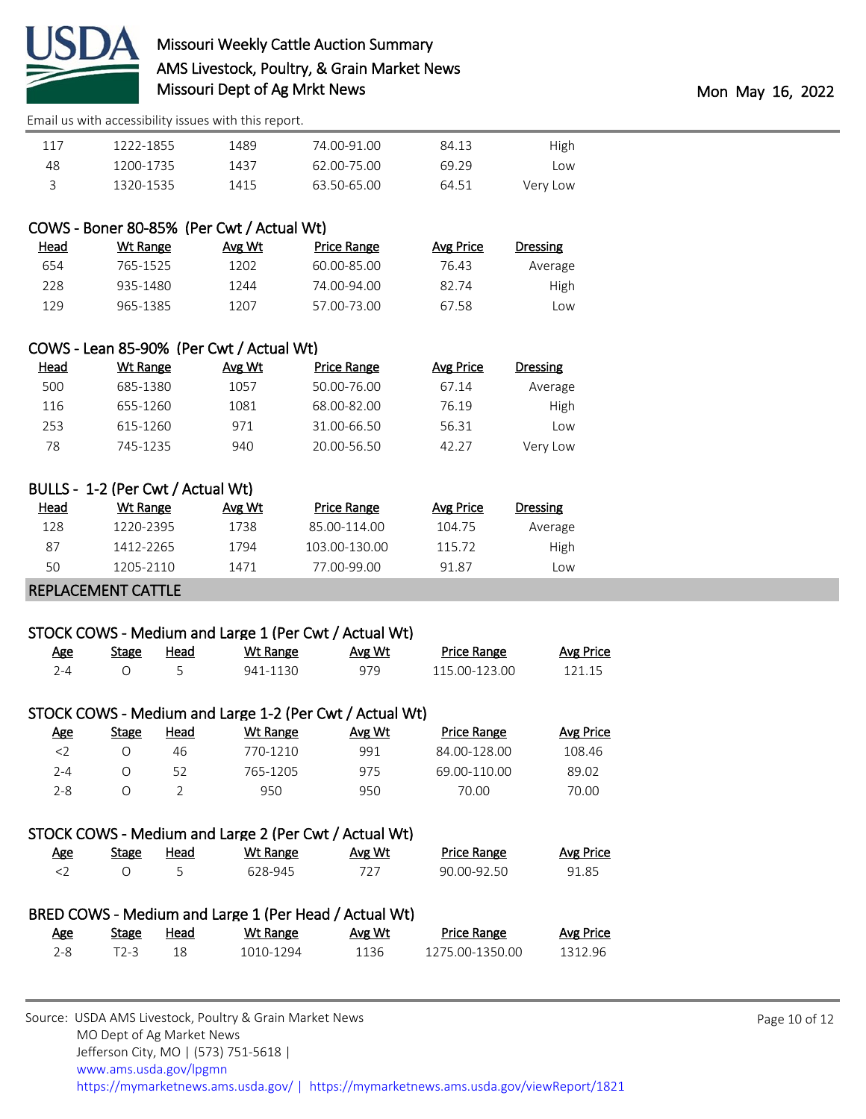

[Email us with accessibility issues with this report.](mailto:mars@ams.usda.gov?subject=508%20issue)

| High     | 84.13 | 74.00-91.00 | 1489 | 1222-1855 | 117 |
|----------|-------|-------------|------|-----------|-----|
| Low      | 69.29 | 62.00-75.00 | 1437 | 1200-1735 | 48  |
| Very Low | 64.51 | 63.50-65.00 | 1415 | 1320-1535 |     |

#### COWS - Boner 80-85% (Per Cwt / Actual Wt)

| Dressing    | Avg Price | Price Range | Avg Wt | Wt Range | <u>Head</u> |
|-------------|-----------|-------------|--------|----------|-------------|
| Average     | 76.43     | 60.00-85.00 | 1202   | 765-1525 | 654         |
| <b>High</b> | 82.74     | 74 00-94 00 | 1244   | 935-1480 | 228         |
| Low         | 67 58     | 57.00-73.00 | 1207   | 965-1385 | 129         |

# COWS - Lean 85-90% (Per Cwt / Actual Wt)

| <b>Dressing</b> | Avg Price | Price Range | Avg Wt | Wt Range | Head |
|-----------------|-----------|-------------|--------|----------|------|
| Average         | 67.14     | 50.00-76.00 | 1057   | 685-1380 | 500  |
| High            | 76.19     | 68.00-82.00 | 1081   | 655-1260 | 116  |
| LOW             | 56.31     | 31.00-66.50 | 971    | 615-1260 | 253  |
| Very Low        | 42.27     | 20.00-56.50 | 940    | 745-1235 | 78   |

# BULLS - 1-2 (Per Cwt / Actual Wt)

| Head | Wt Range  | Avg Wt | Price Range   | Avg Price | Dressing  |
|------|-----------|--------|---------------|-----------|-----------|
| 128  | 1220-2395 | 1738   | 85.00-114.00  | 104.75    | Average   |
| 87   | 1412-2265 | 1794   | 103.00-130.00 | 115 72    | High      |
| 50   | 1205-2110 | 1471   | 77.00-99.00   | 91.87     | <b>OW</b> |

#### REPLACEMENT CATTLE

#### STOCK COWS - Medium and Large 1 (Per Cwt / Actual Wt)

| <u>Age</u> | <b>Stage</b> | Head | Wt Range | Avg Wt | Price Range   | <b>Avg Price</b> |
|------------|--------------|------|----------|--------|---------------|------------------|
| ⊿- (       |              |      | 941-1130 | 979    | 115.00-123.00 | 121.15           |

### STOCK COWS - Medium and Large 1-2 (Per Cwt / Actual Wt)

| Age | Stage | Head | Wt Range | Avg Wt | <b>Price Range</b> | <b>Avg Price</b> |
|-----|-------|------|----------|--------|--------------------|------------------|
| <2  |       | 46   | 770-1210 | 991    | 84.00-128.00       | 108.46           |
| 2-4 |       | 52   | 765-1205 | 975    | 69.00-110.00       | 89.02            |
| 2-8 |       |      | 950      | 950    | 70.00              | 70.00            |

#### STOCK COWS - Medium and Large 2 (Per Cwt / Actual Wt)

| <u>Age</u> | Stage | <u>Head</u> | Wt Range | Avg Wt | <b>Price Range</b> | Avg Price |
|------------|-------|-------------|----------|--------|--------------------|-----------|
|            |       |             | 628-945  | 727    | 90.00-92.50        | 91.85     |

## BRED COWS - Medium and Large 1 (Per Head / Actual Wt)

| Age | <b>Stage</b> | Head | Wt Range  | Avg Wt | <b>Price Range</b> | Avg Price |
|-----|--------------|------|-----------|--------|--------------------|-----------|
| 2-8 |              |      | 1010-1294 | 1136   | 1275.00-1350.00    | 1312.96   |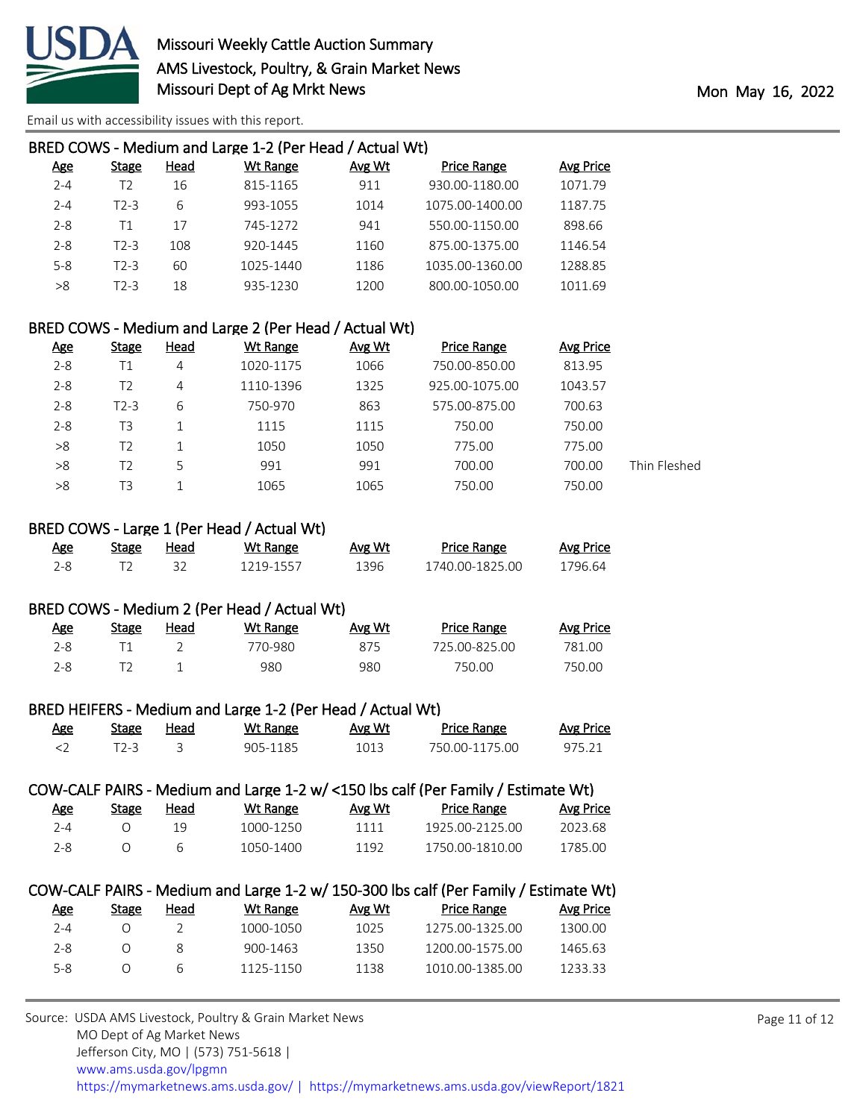

| <b>Stage</b> | Head | Wt Range  | Avg Wt | <b>Price Range</b> | Avg Price                                               |
|--------------|------|-----------|--------|--------------------|---------------------------------------------------------|
| Τ2           | 16   | 815-1165  | 911    | 930.00-1180.00     | 1071.79                                                 |
| T2-3         | 6    | 993-1055  | 1014   | 1075.00-1400.00    | 1187.75                                                 |
| Τ1           | 17   | 745-1272  | 941    | 550.00-1150.00     | 898.66                                                  |
| $T2-3$       | 108  | 920-1445  | 1160   | 875.00-1375.00     | 1146.54                                                 |
| $T2-3$       | 60   | 1025-1440 | 1186   | 1035.00-1360.00    | 1288.85                                                 |
| T2-3         | 18   | 935-1230  | 1200   | 800.00-1050.00     | 1011.69                                                 |
|              |      |           |        |                    | BRED COWS - Medium and Large 1-2 (Per Head / Actual Wt) |

#### BRED COWS - Medium and Large 2 (Per Head / Actual Wt)

| <u>Age</u> | <b>Stage</b> | <b>Head</b> | Wt Range  | <b>Avg Wt</b> | <b>Price Range</b> | Avg Price |              |
|------------|--------------|-------------|-----------|---------------|--------------------|-----------|--------------|
| $2 - 8$    | Τ1           | 4           | 1020-1175 | 1066          | 750.00-850.00      | 813.95    |              |
| $2 - 8$    | T2           | 4           | 1110-1396 | 1325          | 925.00-1075.00     | 1043.57   |              |
| $2 - 8$    | $T2-3$       | 6           | 750-970   | 863           | 575.00-875.00      | 700.63    |              |
| $2 - 8$    | T3           |             | 1115      | 1115          | 750.00             | 750.00    |              |
| >8         | T2           |             | 1050      | 1050          | 775.00             | 775.00    |              |
| >8         | T2           | 5           | 991       | 991           | 700.00             | 700.00    | Thin Fleshed |
| >8         | T3           |             | 1065      | 1065          | 750.00             | 750.00    |              |

#### BRED COWS - Large 1 (Per Head / Actual Wt)

| Age | stage | Head | Wt Range  | Avg Wt | <b>Price Range</b> | Avg Price |
|-----|-------|------|-----------|--------|--------------------|-----------|
| ን_Ջ |       |      | 1219-1557 | 396    | 1740.00-1825.00    | 1796.64   |

### BRED COWS - Medium 2 (Per Head / Actual Wt)

| Age | Stage | <u>Head</u> | Wt Range | Avg Wt | <b>Price Range</b> | <b>Avg Price</b> |
|-----|-------|-------------|----------|--------|--------------------|------------------|
| 2-8 |       |             | 770-980  | 875    | 725.00-825.00      | 781.00           |
| 2-8 |       |             | 980      | 980    | 750.00             | 750.00           |

#### BRED HEIFERS - Medium and Large 1-2 (Per Head / Actual Wt)

| <u>Age</u> | Stage | Head | Wt Range | Avg Wt | <b>Price Range</b> | Avg Price |
|------------|-------|------|----------|--------|--------------------|-----------|
|            |       |      | 905-1185 | 1013   | 750.00-1175.00     | 975.21    |

#### COW-CALF PAIRS - Medium and Large 1-2 w/ <150 lbs calf (Per Family / Estimate Wt)

| <u>Age</u> | Stage | Head | Wt Range  | Avg Wt | <b>Price Range</b> | Avg Price |
|------------|-------|------|-----------|--------|--------------------|-----------|
| 7-4        |       |      | 1000-1250 | 1111   | 1925.00-2125.00    | 2023 68   |
| 2-8        |       |      | 1050-1400 | 1192   | 1750.00-1810.00    | 1785.00   |

#### COW-CALF PAIRS - Medium and Large 1-2 w/ 150-300 lbs calf (Per Family / Estimate Wt)

| Age | Stage | Head | Wt Range  | Avg Wt | <b>Price Range</b> | Avg Price |
|-----|-------|------|-----------|--------|--------------------|-----------|
| 7-4 |       |      | 1000-1050 | 1025   | 1275.00-1325.00    | 1300.00   |
| 2-8 |       |      | 900-1463  | 1350   | 1200.00-1575.00    | 1465.63   |
| 5-8 |       | h    | 1125-1150 | 1138   | 1010.00-1385.00    | 1233.33   |